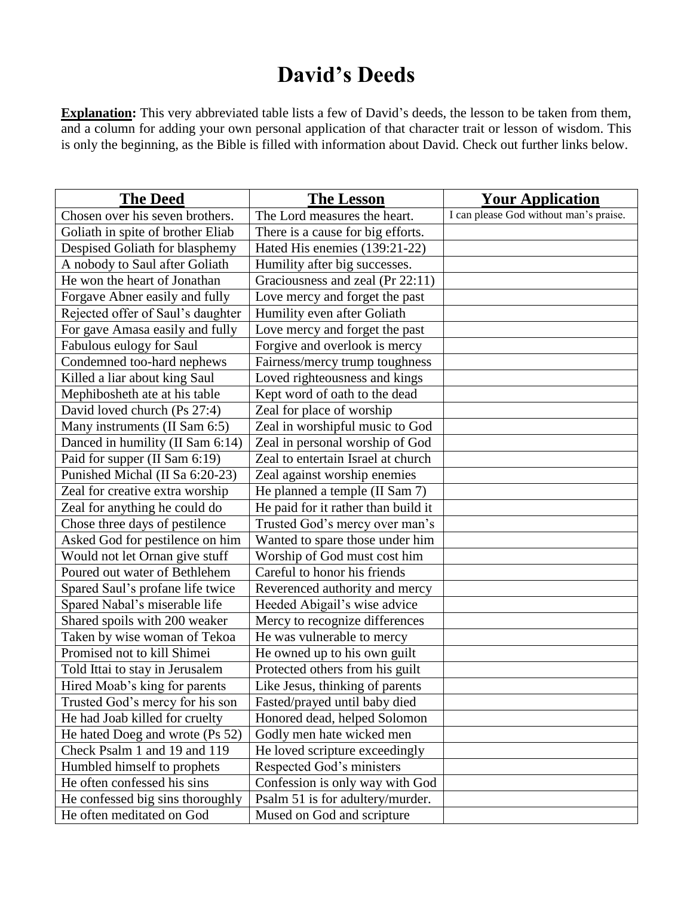## **David's Deeds**

**Explanation:** This very abbreviated table lists a few of David's deeds, the lesson to be taken from them, and a column for adding your own personal application of that character trait or lesson of wisdom. This is only the beginning, as the Bible is filled with information about David. Check out further links below.

| <b>The Deed</b>                   | The Lesson                          | <b>Your Application</b>                |
|-----------------------------------|-------------------------------------|----------------------------------------|
| Chosen over his seven brothers.   | The Lord measures the heart.        | I can please God without man's praise. |
| Goliath in spite of brother Eliab | There is a cause for big efforts.   |                                        |
| Despised Goliath for blasphemy    | Hated His enemies (139:21-22)       |                                        |
| A nobody to Saul after Goliath    | Humility after big successes.       |                                        |
| He won the heart of Jonathan      | Graciousness and zeal (Pr 22:11)    |                                        |
| Forgave Abner easily and fully    | Love mercy and forget the past      |                                        |
| Rejected offer of Saul's daughter | Humility even after Goliath         |                                        |
| For gave Amasa easily and fully   | Love mercy and forget the past      |                                        |
| Fabulous eulogy for Saul          | Forgive and overlook is mercy       |                                        |
| Condemned too-hard nephews        | Fairness/mercy trump toughness      |                                        |
| Killed a liar about king Saul     | Loved righteousness and kings       |                                        |
| Mephibosheth ate at his table     | Kept word of oath to the dead       |                                        |
| David loved church (Ps 27:4)      | Zeal for place of worship           |                                        |
| Many instruments (II Sam 6:5)     | Zeal in worshipful music to God     |                                        |
| Danced in humility (II Sam 6:14)  | Zeal in personal worship of God     |                                        |
| Paid for supper (II Sam 6:19)     | Zeal to entertain Israel at church  |                                        |
| Punished Michal (II Sa 6:20-23)   | Zeal against worship enemies        |                                        |
| Zeal for creative extra worship   | He planned a temple (II Sam 7)      |                                        |
| Zeal for anything he could do     | He paid for it rather than build it |                                        |
| Chose three days of pestilence    | Trusted God's mercy over man's      |                                        |
| Asked God for pestilence on him   | Wanted to spare those under him     |                                        |
| Would not let Ornan give stuff    | Worship of God must cost him        |                                        |
| Poured out water of Bethlehem     | Careful to honor his friends        |                                        |
| Spared Saul's profane life twice  | Reverenced authority and mercy      |                                        |
| Spared Nabal's miserable life     | Heeded Abigail's wise advice        |                                        |
| Shared spoils with 200 weaker     | Mercy to recognize differences      |                                        |
| Taken by wise woman of Tekoa      | He was vulnerable to mercy          |                                        |
| Promised not to kill Shimei       | He owned up to his own guilt        |                                        |
| Told Ittai to stay in Jerusalem   | Protected others from his guilt     |                                        |
| Hired Moab's king for parents     | Like Jesus, thinking of parents     |                                        |
| Trusted God's mercy for his son   | Fasted/prayed until baby died       |                                        |
| He had Joab killed for cruelty    | Honored dead, helped Solomon        |                                        |
| He hated Doeg and wrote (Ps 52)   | Godly men hate wicked men           |                                        |
| Check Psalm 1 and 19 and 119      | He loved scripture exceedingly      |                                        |
| Humbled himself to prophets       | Respected God's ministers           |                                        |
| He often confessed his sins       | Confession is only way with God     |                                        |
| He confessed big sins thoroughly  | Psalm 51 is for adultery/murder.    |                                        |
| He often meditated on God         | Mused on God and scripture          |                                        |